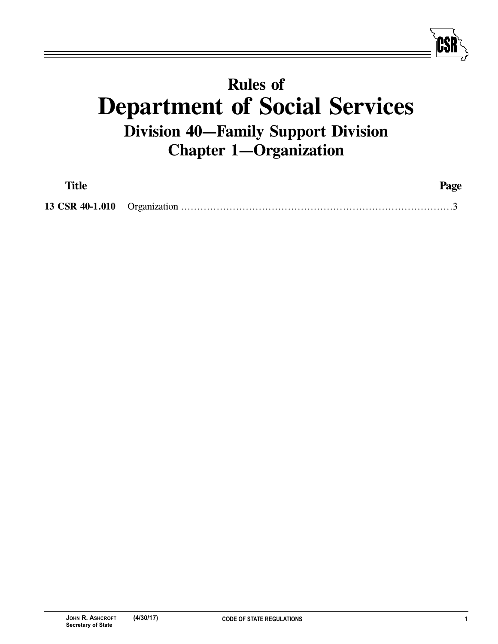## **Rules of**<br>**Department of Social Services Division 40-Family Support Division Division 40–10**<br>Chapter 1–Organization **Chapter 1—Organization**

| <b>Title</b> | Page |
|--------------|------|
|              |      |